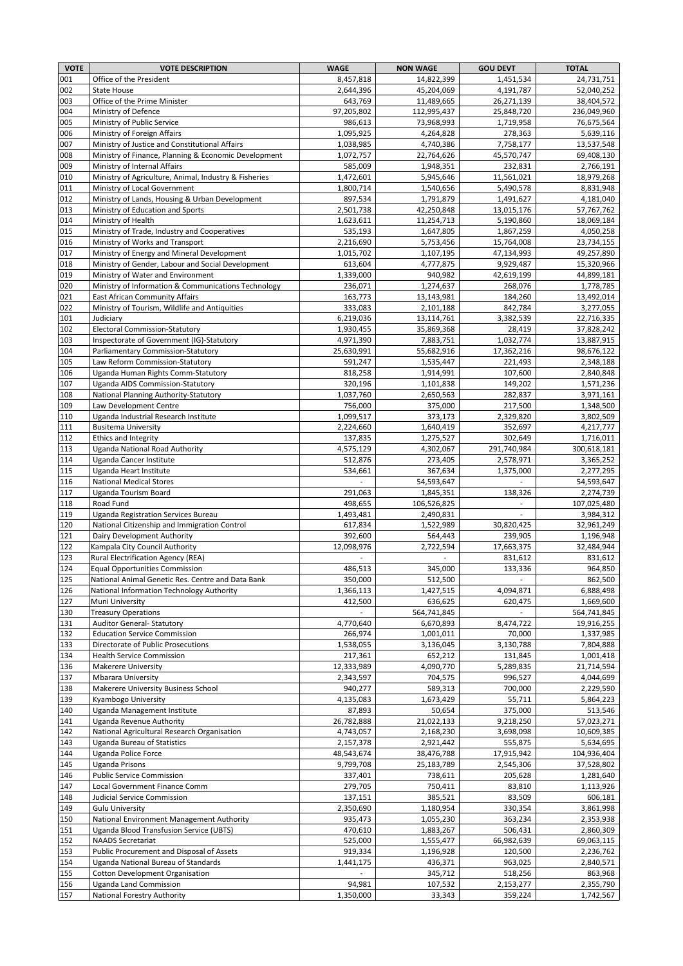| <b>VOTE</b> | <b>VOTE DESCRIPTION</b>                                                              | <b>WAGE</b>            | <b>NON WAGE</b>          | <b>GOU DEVT</b>         | <b>TOTAL</b>             |
|-------------|--------------------------------------------------------------------------------------|------------------------|--------------------------|-------------------------|--------------------------|
| 001         | Office of the President                                                              | 8,457,818              | 14,822,399               | 1,451,534               | 24,731,751               |
| 002         | <b>State House</b>                                                                   | 2,644,396              | 45,204,069               | 4,191,787               | 52,040,252               |
| 003         | Office of the Prime Minister                                                         | 643,769                | 11,489,665               | 26,271,139              | 38,404,572               |
| 004         | Ministry of Defence<br>Ministry of Public Service                                    | 97,205,802             | 112,995,437              | 25,848,720              | 236,049,960              |
| 005<br>006  | Ministry of Foreign Affairs                                                          | 986,613<br>1,095,925   | 73,968,993<br>4,264,828  | 1,719,958<br>278,363    | 76,675,564<br>5,639,116  |
| 007         | Ministry of Justice and Constitutional Affairs                                       | 1,038,985              | 4,740,386                | 7,758,177               | 13,537,548               |
| 008         | Ministry of Finance, Planning & Economic Development                                 | 1,072,757              | 22,764,626               | 45,570,747              | 69,408,130               |
| 009         | Ministry of Internal Affairs                                                         | 585,009                | 1,948,351                | 232,831                 | 2,766,191                |
| 010         | Ministry of Agriculture, Animal, Industry & Fisheries                                | 1,472,601              | 5,945,646                | 11,561,021              | 18,979,268               |
| 011         | Ministry of Local Government                                                         | 1,800,714              | 1,540,656                | 5,490,578               | 8,831,948                |
| 012         | Ministry of Lands, Housing & Urban Development                                       | 897,534                | 1,791,879                | 1,491,627               | 4,181,040                |
| 013<br>014  | Ministry of Education and Sports<br>Ministry of Health                               | 2,501,738<br>1,623,611 | 42,250,848<br>11,254,713 | 13,015,176<br>5,190,860 | 57,767,762<br>18,069,184 |
| 015         | Ministry of Trade, Industry and Cooperatives                                         | 535,193                | 1,647,805                | 1,867,259               | 4,050,258                |
| 016         | Ministry of Works and Transport                                                      | 2,216,690              | 5,753,456                | 15,764,008              | 23,734,155               |
| 017         | Ministry of Energy and Mineral Development                                           | 1,015,702              | 1,107,195                | 47,134,993              | 49,257,890               |
| 018         | Ministry of Gender, Labour and Social Development                                    | 613,604                | 4,777,875                | 9,929,487               | 15,320,966               |
| 019         | Ministry of Water and Environment                                                    | 1,339,000              | 940,982                  | 42,619,199              | 44,899,181               |
| 020         | Ministry of Information & Communications Technology                                  | 236,071                | 1,274,637                | 268,076                 | 1,778,785                |
| 021         | <b>East African Community Affairs</b>                                                | 163,773                | 13,143,981               | 184,260                 | 13,492,014               |
| 022<br>101  | Ministry of Tourism, Wildlife and Antiquities                                        | 333,083<br>6,219,036   | 2,101,188                | 842,784                 | 3,277,055<br>22,716,335  |
| 102         | Judiciary<br><b>Electoral Commission-Statutory</b>                                   | 1,930,455              | 13,114,761<br>35,869,368 | 3,382,539<br>28,419     | 37,828,242               |
| 103         | Inspectorate of Government (IG)-Statutory                                            | 4,971,390              | 7,883,751                | 1,032,774               | 13,887,915               |
| 104         | Parliamentary Commission-Statutory                                                   | 25,630,991             | 55,682,916               | 17,362,216              | 98,676,122               |
| 105         | Law Reform Commission-Statutory                                                      | 591,247                | 1,535,447                | 221,493                 | 2,348,188                |
| 106         | Uganda Human Rights Comm-Statutory                                                   | 818,258                | 1,914,991                | 107,600                 | 2,840,848                |
| 107         | Uganda AIDS Commission-Statutory                                                     | 320,196                | 1,101,838                | 149,202                 | 1,571,236                |
| 108         | National Planning Authority-Statutory                                                | 1,037,760              | 2,650,563                | 282,837                 | 3,971,161                |
| 109         | Law Development Centre                                                               | 756,000                | 375,000                  | 217,500                 | 1,348,500                |
| 110         | Uganda Industrial Research Institute                                                 | 1,099,517              | 373,173                  | 2,329,820               | 3,802,509                |
| 111<br>112  | <b>Busitema University</b><br><b>Ethics and Integrity</b>                            | 2,224,660<br>137,835   | 1,640,419<br>1,275,527   | 352,697<br>302,649      | 4,217,777<br>1,716,011   |
| 113         | <b>Uganda National Road Authority</b>                                                | 4,575,129              | 4,302,067                | 291,740,984             | 300,618,181              |
| 114         | Uganda Cancer Institute                                                              | 512,876                | 273,405                  | 2,578,971               | 3,365,252                |
| 115         | Uganda Heart Institute                                                               | 534,661                | 367,634                  | 1,375,000               | 2,277,295                |
| 116         | <b>National Medical Stores</b>                                                       |                        | 54,593,647               |                         | 54,593,647               |
| 117         | Uganda Tourism Board                                                                 | 291,063                | 1,845,351                | 138,326                 | 2,274,739                |
| 118         | Road Fund                                                                            | 498,655                | 106,526,825              |                         | 107,025,480              |
| 119         | Uganda Registration Services Bureau                                                  | 1,493,481              | 2,490,831                |                         | 3,984,312                |
| 120<br>121  | National Citizenship and Immigration Control<br>Dairy Development Authority          | 617,834<br>392,600     | 1,522,989<br>564,443     | 30,820,425<br>239,905   | 32,961,249<br>1,196,948  |
| 122         | Kampala City Council Authority                                                       | 12,098,976             | 2,722,594                | 17,663,375              | 32,484,944               |
| 123         | Rural Electrification Agency (REA)                                                   |                        |                          | 831,612                 | 831,612                  |
| 124         | <b>Equal Opportunities Commission</b>                                                | 486,513                | 345,000                  | 133,336                 | 964,850                  |
| 125         | National Animal Genetic Res. Centre and Data Bank                                    | 350,000                | 512,500                  |                         | 862,500                  |
| 126         | National Information Technology Authority                                            | 1,366,113              | 1,427,515                | 4,094,871               | 6,888,498                |
| 127         | Muni University                                                                      | 412,500                | 636,625                  | 620,475                 | 1,669,600                |
| 130         | <b>Treasury Operations</b>                                                           |                        | 564,741,845              | $\sim$                  | 564,741,845              |
| 131         | <b>Auditor General- Statutory</b><br><b>Education Service Commission</b>             | 4,770,640<br>266,974   | 6,670,893                | 8,474,722               | 19,916,255               |
| 132<br>133  | Directorate of Public Prosecutions                                                   | 1,538,055              | 1,001,011<br>3,136,045   | 70,000<br>3,130,788     | 1,337,985<br>7,804,888   |
| 134         | <b>Health Service Commission</b>                                                     | 217,361                | 652,212                  | 131,845                 | 1,001,418                |
| 136         | <b>Makerere University</b>                                                           | 12,333,989             | 4,090,770                | 5,289,835               | 21,714,594               |
| 137         | Mbarara University                                                                   | 2,343,597              | 704,575                  | 996,527                 | 4,044,699                |
| 138         | Makerere University Business School                                                  | 940,277                | 589,313                  | 700,000                 | 2,229,590                |
| 139         | Kyambogo University                                                                  | 4,135,083              | 1,673,429                | 55,711                  | 5,864,223                |
| 140         | Uganda Management Institute                                                          | 87,893                 | 50,654                   | 375,000                 | 513,546                  |
| 141<br>142  | Uganda Revenue Authority<br>National Agricultural Research Organisation              | 26,782,888             | 21,022,133<br>2,168,230  | 9,218,250<br>3,698,098  | 57,023,271<br>10,609,385 |
| 143         | <b>Uganda Bureau of Statistics</b>                                                   | 4,743,057<br>2,157,378 | 2,921,442                | 555,875                 | 5,634,695                |
| 144         | <b>Uganda Police Force</b>                                                           | 48,543,674             | 38,476,788               | 17,915,942              | 104,936,404              |
| 145         | <b>Uganda Prisons</b>                                                                | 9,799,708              | 25,183,789               | 2,545,306               | 37,528,802               |
| 146         | <b>Public Service Commission</b>                                                     | 337,401                | 738,611                  | 205,628                 | 1,281,640                |
| 147         | Local Government Finance Comm                                                        | 279,705                | 750,411                  | 83,810                  | 1,113,926                |
| 148         | Judicial Service Commission                                                          | 137,151                | 385,521                  | 83,509                  | 606,181                  |
| 149         | <b>Gulu University</b>                                                               | 2,350,690              | $\overline{1,}180,954$   | 330,354                 | 3,861,998                |
| 150<br>151  | National Environment Management Authority<br>Uganda Blood Transfusion Service (UBTS) | 935,473<br>470,610     | 1,055,230                | 363,234                 | 2,353,938                |
| 152         | <b>NAADS Secretariat</b>                                                             | 525,000                | 1,883,267<br>1,555,477   | 506,431<br>66,982,639   | 2,860,309<br>69,063,115  |
| 153         | Public Procurement and Disposal of Assets                                            | 919,334                | 1,196,928                | 120,500                 | 2,236,762                |
| 154         | Uganda National Bureau of Standards                                                  | 1,441,175              | 436,371                  | 963,025                 | 2,840,571                |
| 155         | Cotton Development Organisation                                                      |                        | 345,712                  | 518,256                 | 863,968                  |
| 156         | <b>Uganda Land Commission</b>                                                        | 94,981                 | 107,532                  | 2,153,277               | 2,355,790                |
| 157         | National Forestry Authority                                                          | 1,350,000              | 33,343                   | 359,224                 | 1,742,567                |